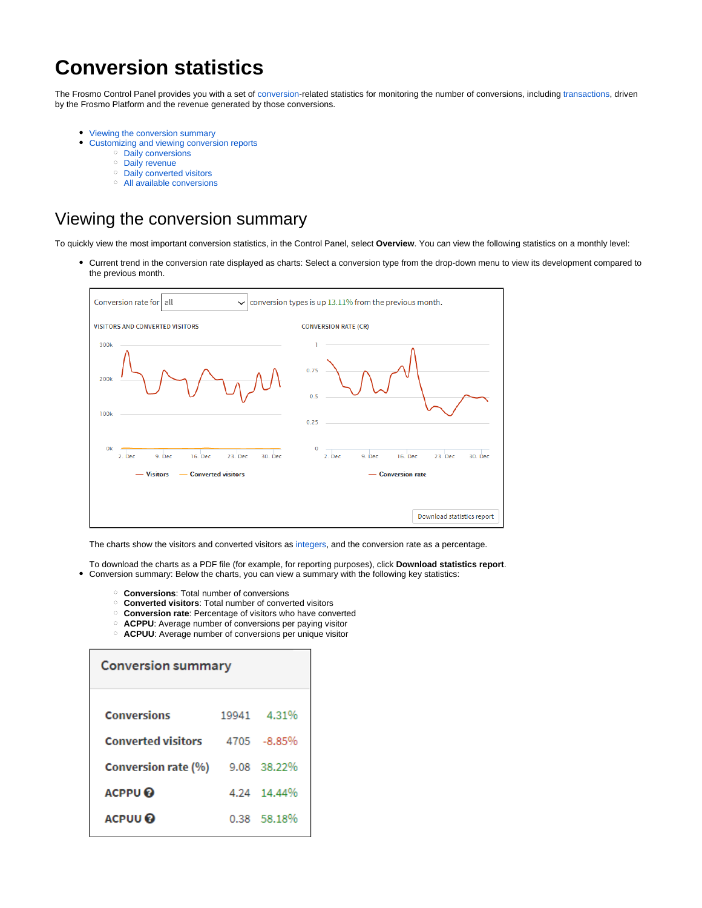# **Conversion statistics**

The Frosmo Control Panel provides you with a set of [conversion](https://docs.frosmo.com/display/platform/Data+tracking+overview#Datatrackingoverview-Conversiontracking)-related statistics for monitoring the number of conversions, including [transactions,](https://docs.frosmo.com/display/platform/Data+tracking+overview#Datatrackingoverview-Transactiontracking) driven by the Frosmo Platform and the revenue generated by those conversions.

- $\bullet$ [Viewing the conversion summary](#page-0-0)
	- [Customizing and viewing conversion reports](#page-1-0)
		- <sup>o</sup> [Daily conversions](#page-1-1)
		- <sup>o</sup> [Daily revenue](#page-2-0)
		- <sup>o</sup> [Daily converted visitors](#page-2-1)
		- [All available conversions](#page-3-0)

## <span id="page-0-0"></span>Viewing the conversion summary

To quickly view the most important conversion statistics, in the Control Panel, select **Overview**. You can view the following statistics on a monthly level:

Current trend in the conversion rate displayed as charts: Select a conversion type from the drop-down menu to view its development compared to  $\bullet$ the previous month.



The charts show the visitors and converted visitors as [integers,](https://en.wikipedia.org/wiki/Integer) and the conversion rate as a percentage.

- To download the charts as a PDF file (for example, for reporting purposes), click **Download statistics report**. Conversion summary: Below the charts, you can view a summary with the following key statistics:
	- **Conversions**: Total number of conversions
	- **Converted visitors**: Total number of converted visitors
	- **Conversion rate**: Percentage of visitors who have converted
	- **ACPPU**: Average number of conversions per paying visitor
	- **ACPUU**: Average number of conversions per unique visitor

| <b>Conversion summary</b> |             |  |  |  |  |  |  |  |  |  |
|---------------------------|-------------|--|--|--|--|--|--|--|--|--|
|                           | 19941 4.31% |  |  |  |  |  |  |  |  |  |
|                           | 4705 -8.85% |  |  |  |  |  |  |  |  |  |
|                           | 9.08 38.22% |  |  |  |  |  |  |  |  |  |
|                           | 4.24 14.44% |  |  |  |  |  |  |  |  |  |
|                           | 0.38 58.18% |  |  |  |  |  |  |  |  |  |
|                           |             |  |  |  |  |  |  |  |  |  |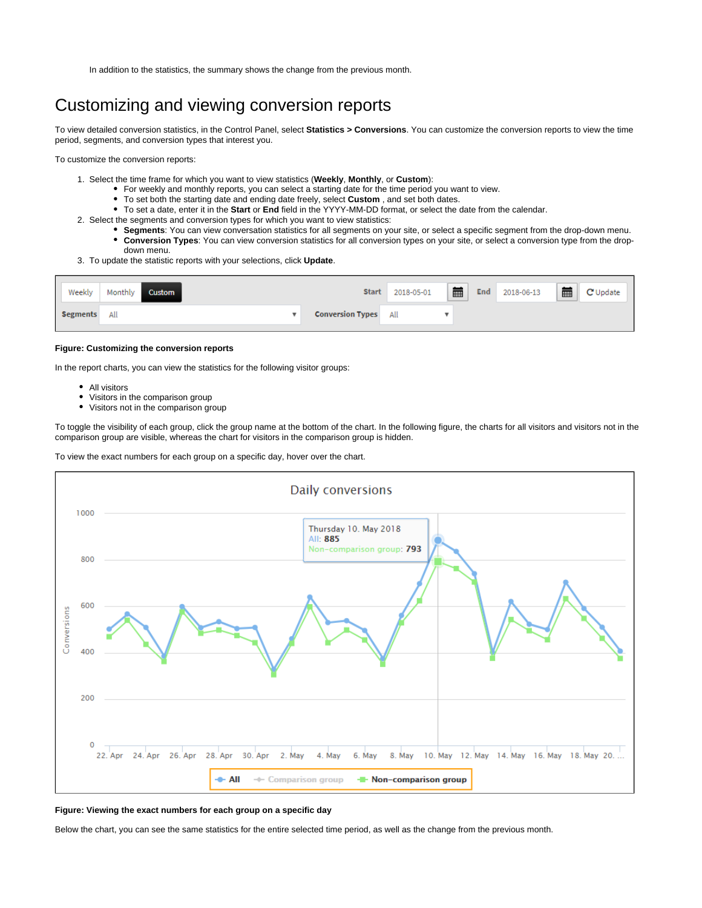In addition to the statistics, the summary shows the change from the previous month.

## <span id="page-1-0"></span>Customizing and viewing conversion reports

To view detailed conversion statistics, in the Control Panel, select **Statistics > Conversions**. You can customize the conversion reports to view the time period, segments, and conversion types that interest you.

To customize the conversion reports:

- 1. Select the time frame for which you want to view statistics (**Weekly**, **Monthly**, or **Custom**):
	- For weekly and monthly reports, you can select a starting date for the time period you want to view.
	- To set both the starting date and ending date freely, select **Custom** , and set both dates.
	- To set a date, enter it in the **Start** or **End** field in the YYYY-MM-DD format, or select the date from the calendar.
- 2. Select the segments and conversion types for which you want to view statistics:
	- **Segments**: You can view conversation statistics for all segments on your site, or select a specific segment from the drop-down menu. **Conversion Types**: You can view conversion statistics for all conversion types on your site, or select a conversion type from the dropdown menu.
- 3. To update the statistic reports with your selections, click **Update**.

| Weekly          | Monthly<br><b>Custom</b> | <b>Start</b>                | 2018-05-01 | 藟 | End | 2018-06-13 | 藟 | C Update |
|-----------------|--------------------------|-----------------------------|------------|---|-----|------------|---|----------|
| <b>Segments</b> | All                      | <b>Conversion Types</b> All |            |   |     |            |   |          |

#### **Figure: Customizing the conversion reports**

In the report charts, you can view the statistics for the following visitor groups:

- All visitors
- Visitors in the comparison group
- Visitors not in the comparison group

To toggle the visibility of each group, click the group name at the bottom of the chart. In the following figure, the charts for all visitors and visitors not in the comparison group are visible, whereas the chart for visitors in the comparison group is hidden.

To view the exact numbers for each group on a specific day, hover over the chart.



#### **Figure: Viewing the exact numbers for each group on a specific day**

<span id="page-1-1"></span>Below the chart, you can see the same statistics for the entire selected time period, as well as the change from the previous month.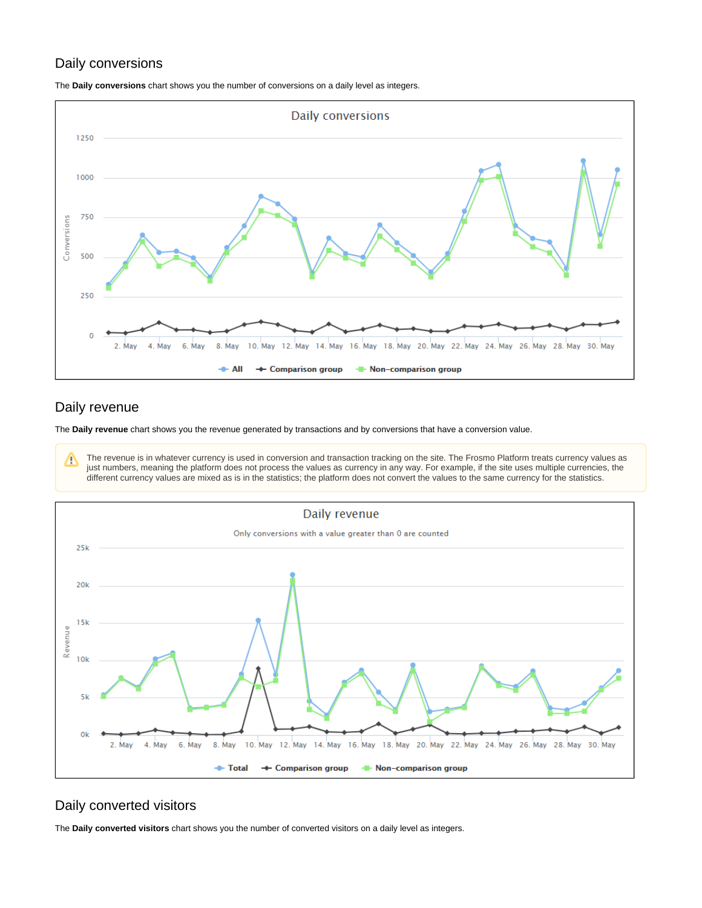## Daily conversions

The **Daily conversions** chart shows you the number of conversions on a daily level as integers.



### <span id="page-2-0"></span>Daily revenue

The **Daily revenue** chart shows you the revenue generated by transactions and by conversions that have a conversion value.

The revenue is in whatever currency is used in conversion and transaction tracking on the site. The Frosmo Platform treats currency values as Δ just numbers, meaning the platform does not process the values as currency in any way. For example, if the site uses multiple currencies, the different currency values are mixed as is in the statistics; the platform does not convert the values to the same currency for the statistics.



## <span id="page-2-1"></span>Daily converted visitors

The **Daily converted visitors** chart shows you the number of converted visitors on a daily level as integers.